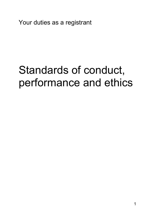Your duties as a registrant

# Standards of conduct, performance and ethics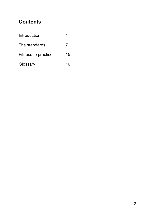# **Contents**

| Introduction               |    |
|----------------------------|----|
| The standards              |    |
| <b>Fitness to practise</b> | 15 |
| Glossary                   | 16 |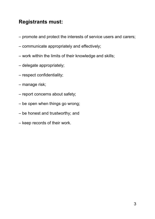# **Registrants must:**

- promote and protect the interests of service users and carers;
- communicate appropriately and effectively;
- work within the limits of their knowledge and skills;
- delegate appropriately;
- respect confidentiality;
- manage risk;
- report concerns about safety;
- be open when things go wrong;
- be honest and trustworthy; and
- keep records of their work.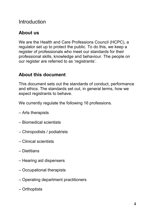# Introduction

# **About us**

We are the Health and Care Professions Council (HCPC), a regulator set up to protect the public. To do this, we keep a register of professionals who meet our standards for their professional skills, knowledge and behaviour. The people on our register are referred to as 'registrants'.

# **About this document**

This document sets out the standards of conduct, performance and ethics. The standards set out, in general terms, how we expect registrants to behave.

We currently regulate the following 16 professions.

- Arts therapists
- Biomedical scientists
- Chiropodists / podiatrists
- Clinical scientists
- Dietitians
- Hearing aid dispensers
- Occupational therapists
- Operating department practitioners
- Orthoptists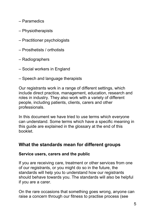- Paramedics
- Physiotherapists
- Practitioner psychologists
- Prosthetists / orthotists
- Radiographers
- Social workers in England
- Speech and language therapists

Our registrants work in a range of different settings, which include direct practice, management, education, research and roles in industry. They also work with a variety of different people, including patients, clients, carers and other professionals.

In this document we have tried to use terms which everyone can understand. Some terms which have a specific meaning in this guide are explained in the glossary at the end of this booklet.

# **What the standards mean for different groups**

## **Service users, carers and the public**

If you are receiving care, treatment or other services from one of our registrants, or you might do so in the future, the standards will help you to understand how our registrants should behave towards you. The standards will also be helpful if you are a carer.

On the rare occasions that something goes wrong, anyone can raise a concern through our fitness to practise process (see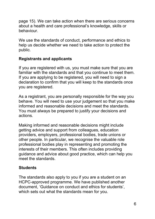page 15). We can take action when there are serious concerns about a health and care professional's knowledge, skills or behaviour.

We use the standards of conduct, performance and ethics to help us decide whether we need to take action to protect the public.

## **Registrants and applicants**

If you are registered with us, you must make sure that you are familiar with the standards and that you continue to meet them. If you are applying to be registered, you will need to sign a declaration to confirm that you will keep to the standards once you are registered.

As a registrant, you are personally responsible for the way you behave. You will need to use your judgement so that you make informed and reasonable decisions and meet the standards. You must always be prepared to justify your decisions and actions.

Making informed and reasonable decisions might include getting advice and support from colleagues, education providers, employers, professional bodies, trade unions or other people. In particular, we recognise the valuable role professional bodies play in representing and promoting the interests of their members. This often includes providing guidance and advice about good practice, which can help you meet the standards.

## **Students**

The standards also apply to you if you are a student on an HCPC-approved programme. We have published another document, 'Guidance on conduct and ethics for students', which sets out what the standards mean for you.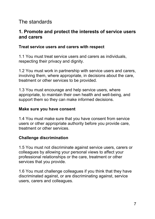# The standards

## **1. Promote and protect the interests of service users and carers**

#### **Treat service users and carers with respect**

1.1 You must treat service users and carers as individuals, respecting their privacy and dignity.

1.2 You must work in partnership with service users and carers, involving them, where appropriate, in decisions about the care, treatment or other services to be provided.

1.3 You must encourage and help service users, where appropriate, to maintain their own health and well-being, and support them so they can make informed decisions.

#### **Make sure you have consent**

1.4 You must make sure that you have consent from service users or other appropriate authority before you provide care, treatment or other services.

## **Challenge discrimination**

1.5 You must not discriminate against service users, carers or colleagues by allowing your personal views to affect your professional relationships or the care, treatment or other services that you provide.

1.6 You must challenge colleagues if you think that they have discriminated against, or are discriminating against, service users, carers and colleagues.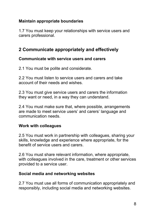## **Maintain appropriate boundaries**

1.7 You must keep your relationships with service users and carers professional.

# **2 Communicate appropriately and effectively**

## **Communicate with service users and carers**

2.1 You must be polite and considerate.

2.2 You must listen to service users and carers and take account of their needs and wishes.

2.3 You must give service users and carers the information they want or need, in a way they can understand.

2.4 You must make sure that, where possible, arrangements are made to meet service users' and carers' language and communication needs.

## **Work with colleagues**

2.5 You must work in partnership with colleagues, sharing your skills, knowledge and experience where appropriate, for the benefit of service users and carers.

2.6 You must share relevant information, where appropriate, with colleagues involved in the care, treatment or other services provided to a service user.

## **Social media and networking websites**

2.7 You must use all forms of communication appropriately and responsibly, including social media and networking websites.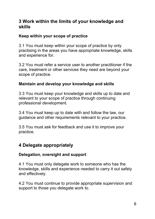## **3 Work within the limits of your knowledge and skills**

## **Keep within your scope of practice**

3.1 You must keep within your scope of practice by only practising in the areas you have appropriate knowledge, skills and experience for.

3.2 You must refer a service user to another practitioner if the care, treatment or other services they need are beyond your scope of practice.

## **Maintain and develop your knowledge and skills**

3.3 You must keep your knowledge and skills up to date and relevant to your scope of practice through continuing professional development.

3.4 You must keep up to date with and follow the law, our guidance and other requirements relevant to your practice.

3.5 You must ask for feedback and use it to improve your practice.

# **4 Delegate appropriately**

## **Delegation, oversight and support**

4.1 You must only delegate work to someone who has the knowledge, skills and experience needed to carry it out safely and effectively.

4.2 You must continue to provide appropriate supervision and support to those you delegate work to.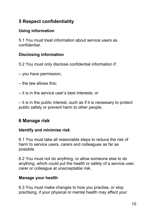# **5 Respect confidentiality**

## **Using information**

5.1 You must treat information about service users as confidential.

## **Disclosing information**

5.2 You must only disclose confidential information if:

- you have permission;
- the law allows this;
- it is in the service user's best interests; or

– it is in the public interest, such as if it is necessary to protect public safety or prevent harm to other people.

# **6 Manage risk**

## **Identify and minimise risk**

6.1 You must take all reasonable steps to reduce the risk of harm to service users, carers and colleagues as far as possible.

6.2 You must not do anything, or allow someone else to do anything, which could put the health or safety of a service user, carer or colleague at unacceptable risk.

## **Manage your health**

6.3 You must make changes to how you practise, or stop practising, if your physical or mental health may affect your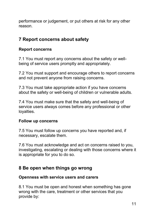performance or judgement, or put others at risk for any other reason.

# **7 Report concerns about safety**

## **Report concerns**

7.1 You must report any concerns about the safety or wellbeing of service users promptly and appropriately.

7.2 You must support and encourage others to report concerns and not prevent anyone from raising concerns.

7.3 You must take appropriate action if you have concerns about the safety or well-being of children or vulnerable adults.

7.4 You must make sure that the safety and well-being of service users always comes before any professional or other loyalties.

## **Follow up concerns**

7.5 You must follow up concerns you have reported and, if necessary, escalate them.

7.6 You must acknowledge and act on concerns raised to you, investigating, escalating or dealing with those concerns where it is appropriate for you to do so.

## **8 Be open when things go wrong**

## **Openness with service users and carers**

8.1 You must be open and honest when something has gone wrong with the care, treatment or other services that you provide by: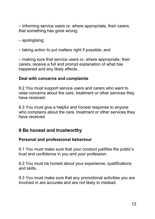– informing service users or, where appropriate, their carers, that something has gone wrong;

– apologising;

– taking action to put matters right if possible; and

– making sure that service users or, where appropriate, their carers, receive a full and prompt explanation of what has happened and any likely effects.

#### **Deal with concerns and complaints**

8.2 You must support service users and carers who want to raise concerns about the care, treatment or other services they have received.

8.3 You must give a helpful and honest response to anyone who complains about the care, treatment or other services they have received.

## **9 Be honest and trustworthy**

## **Personal and professional behaviour**

9.1 You must make sure that your conduct justifies the public's trust and confidence in you and your profession.

9.2 You must be honest about your experience, qualifications and skills.

9.3 You must make sure that any promotional activities you are involved in are accurate and are not likely to mislead.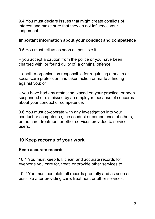9.4 You must declare issues that might create conflicts of interest and make sure that they do not influence your judgement.

#### **Important information about your conduct and competence**

9.5 You must tell us as soon as possible if:

– you accept a caution from the police or you have been charged with, or found guilty of, a criminal offence;

– another organisation responsible for regulating a health or social-care profession has taken action or made a finding against you; or

– you have had any restriction placed on your practice, or been suspended or dismissed by an employer, because of concerns about your conduct or competence.

9.6 You must co-operate with any investigation into your conduct or competence, the conduct or competence of others, or the care, treatment or other services provided to service users.

# **10 Keep records of your work**

## **Keep accurate records**

10.1 You must keep full, clear, and accurate records for everyone you care for, treat, or provide other services to.

10.2 You must complete all records promptly and as soon as possible after providing care, treatment or other services.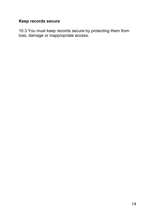## **Keep records secure**

10.3 You must keep records secure by protecting them from loss, damage or inappropriate access.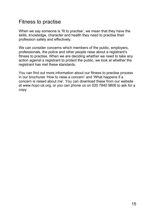# Fitness to practise

When we say someone is 'fit to practise', we mean that they have the skills, knowledge, character and health they need to practise their profession safely and effectively.

We can consider concerns which members of the public, employers, professionals, the police and other people raise about a registrant's fitness to practise. When we are deciding whether we need to take any action against a registrant to protect the public, we look at whether the registrant has met these standards.

You can find out more information about our fitness to practise process in our brochures 'How to raise a concern' and 'What happens if a concern is raised about me'. You can download these from our website at www.hcpc-uk.org, or you can phone us on 020 7840 9806 to ask for a copy.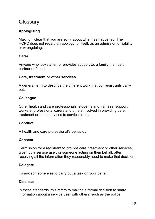# **Glossary**

#### **Apologising**

Making it clear that you are sorry about what has happened. The HCPC does not regard an apology, of itself, as an admission of liability or wrongdoing.

#### **Carer**

Anyone who looks after, or provides support to, a family member, partner or friend.

#### **Care, treatment or other services**

A general term to describe the different work that our registrants carry out.

#### **Colleague**

Other health and care professionals, students and trainees, support workers, professional carers and others involved in providing care, treatment or other services to service users.

#### **Conduct**

A health and care professional's behaviour.

#### **Consent**

Permission for a registrant to provide care, treatment or other services, given by a service user, or someone acting on their behalf, after receiving all the information they reasonably need to make that decision.

#### **Delegate**

To ask someone else to carry out a task on your behalf.

#### **Disclose**

In these standards, this refers to making a formal decision to share information about a service user with others, such as the police.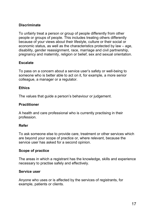#### **Discriminate**

To unfairly treat a person or group of people differently from other people or groups of people. This includes treating others differently because of your views about their lifestyle, culture or their social or economic status, as well as the characteristics protected by law – age, disability, gender reassignment, race, marriage and civil partnership, pregnancy and maternity, religion or belief, sex and sexual orientation.

#### **Escalate**

To pass on a concern about a service user's safety or well-being to someone who is better able to act on it, for example, a more senior colleague, a manager or a regulator.

#### **Ethics**

The values that guide a person's behaviour or judgement.

#### **Practitioner**

A health and care professional who is currently practising in their profession.

#### **Refer**

To ask someone else to provide care, treatment or other services which are beyond your scope of practice or, where relevant, because the service user has asked for a second opinion.

#### **Scope of practice**

The areas in which a registrant has the knowledge, skills and experience necessary to practise safely and effectively.

#### **Service user**

Anyone who uses or is affected by the services of registrants, for example, patients or clients.